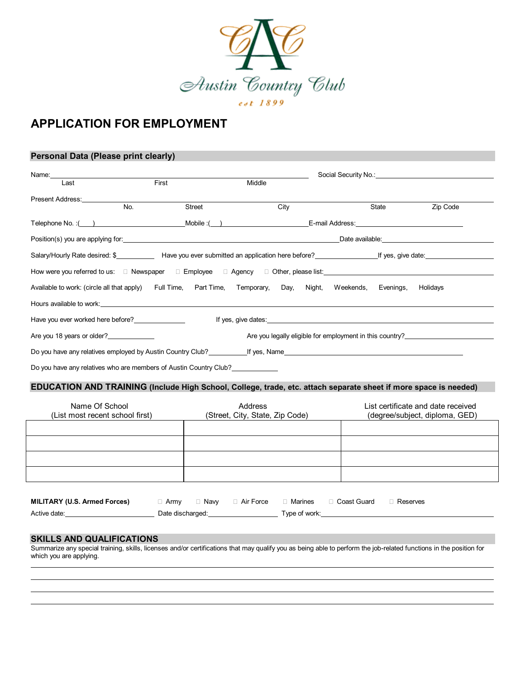

# **APPLICATION FOR EMPLOYMENT**

#### **Personal Data (Please print clearly)**

| Name: Name and the state of the state of the state of the state of the state of the state of the state of the state of the state of the state of the state of the state of the state of the state of the state of the state of |     |       |        |        |      |  |       |          |
|--------------------------------------------------------------------------------------------------------------------------------------------------------------------------------------------------------------------------------|-----|-------|--------|--------|------|--|-------|----------|
| Last                                                                                                                                                                                                                           |     | First |        | Middle |      |  |       |          |
| Present Address:                                                                                                                                                                                                               |     |       |        |        |      |  |       |          |
|                                                                                                                                                                                                                                | No. |       | Street |        | City |  | State | Zip Code |
|                                                                                                                                                                                                                                |     |       |        |        |      |  |       |          |
| Position(s) you are applying for: example and a series of the series of the series of the series of the series of the series of the series of the series of the series of the series of the series of the series of the series |     |       |        |        |      |  |       |          |
|                                                                                                                                                                                                                                |     |       |        |        |      |  |       |          |
| How were you referred to us: □ Newspaper □ Employee □ Agency □ Other, please list: ________________                                                                                                                            |     |       |        |        |      |  |       |          |
| Available to work: (circle all that apply) Full Time, Part Time, Temporary, Day, Night, Weekends, Evenings, Holidays                                                                                                           |     |       |        |        |      |  |       |          |
| Hours available to work: example and the second contract of the second contract of the second contract of the second contract of the second contract of the second contract of the second contract of the second contract of t |     |       |        |        |      |  |       |          |
| Have you ever worked here before?                                                                                                                                                                                              |     |       |        |        |      |  |       |          |
| Are you 18 years or older?<br>Are you legally eligible for employment in this country?                                                                                                                                         |     |       |        |        |      |  |       |          |
|                                                                                                                                                                                                                                |     |       |        |        |      |  |       |          |
| Do you have any relatives who are members of Austin Country Club?                                                                                                                                                              |     |       |        |        |      |  |       |          |

### **EDUCATION AND TRAINING (Include High School, College, trade, etc. attach separate sheet if more space is needed)**

| Name Of School<br>(List most recent school first) | Address<br>(Street, City, State, Zip Code) | List certificate and date received<br>(degree/subject, diploma, GED) |
|---------------------------------------------------|--------------------------------------------|----------------------------------------------------------------------|
|                                                   |                                            |                                                                      |
|                                                   |                                            |                                                                      |
|                                                   |                                            |                                                                      |
|                                                   |                                            |                                                                      |

| MILITARY (U.S. Armed Forces) | ⊥ Armv           | ⊟ Naw | □ Air Force | □ Marines     | □ Coast Guard | Reserves |
|------------------------------|------------------|-------|-------------|---------------|---------------|----------|
| Active date:                 | Date discharged: |       |             | Type of work: |               |          |

#### **SKILLS AND QUALIFICATIONS**

 $\overline{a}$ 

Summarize any special training, skills, licenses and/or certifications that may qualify you as being able to perform the job-related functions in the position for which you are applying.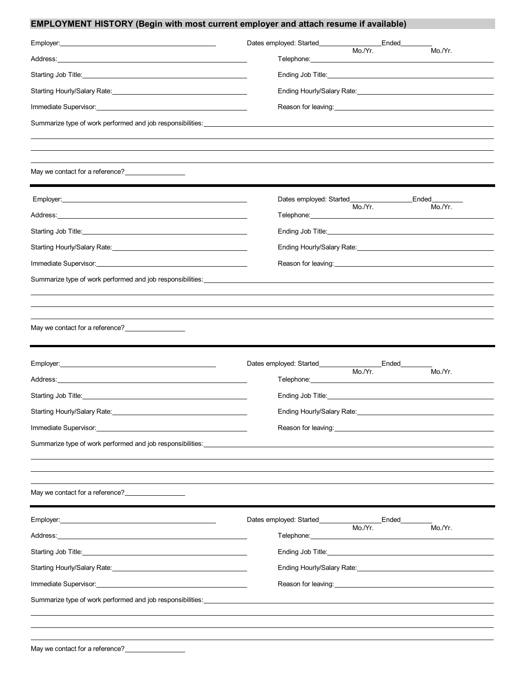## **EMPLOYMENT HISTORY (Begin with most current employer and attach resume if available)**

| Employer: 1999 - 2009 - 2010 - 2010 - 2010 - 2010 - 2010 - 2010 - 2010 - 2010 - 2010 - 2010 - 2010 - 2010 - 20                                                                                                                 | Dates employed: Started_________________________Ended____                                                                                                                                                                                            |
|--------------------------------------------------------------------------------------------------------------------------------------------------------------------------------------------------------------------------------|------------------------------------------------------------------------------------------------------------------------------------------------------------------------------------------------------------------------------------------------------|
|                                                                                                                                                                                                                                | Mo./Yr.<br>Mo./Yr.<br>Telephone:__________________                                                                                                                                                                                                   |
|                                                                                                                                                                                                                                |                                                                                                                                                                                                                                                      |
|                                                                                                                                                                                                                                | Ending Hourly/Salary Rate: 1980 1991 1992 1994                                                                                                                                                                                                       |
|                                                                                                                                                                                                                                |                                                                                                                                                                                                                                                      |
| Summarize type of work performed and job responsibilities: _______________                                                                                                                                                     |                                                                                                                                                                                                                                                      |
|                                                                                                                                                                                                                                |                                                                                                                                                                                                                                                      |
|                                                                                                                                                                                                                                |                                                                                                                                                                                                                                                      |
| May we contact for a reference?<br><u>[</u> [11] May we contact for a reference?                                                                                                                                               |                                                                                                                                                                                                                                                      |
|                                                                                                                                                                                                                                | Ended <b>Leafed</b>                                                                                                                                                                                                                                  |
| Address: National Address: National Address: National Address: National Address: National Address: N                                                                                                                           | Mo./Yr.<br>Mo./Yr.<br>Telephone: Note and the state of the state of the state of the state of the state of the state of the state of the state of the state of the state of the state of the state of the state of the state of the state of the sta |
| Starting Job Title: 1999 Contract Contract Contract Contract Contract Contract Contract Contract Contract Contract Contract Contract Contract Contract Contract Contract Contract Contract Contract Contract Contract Contract |                                                                                                                                                                                                                                                      |
|                                                                                                                                                                                                                                | Ending Hourly/Salary Rate: 1980 1991 1992 1994                                                                                                                                                                                                       |
|                                                                                                                                                                                                                                |                                                                                                                                                                                                                                                      |
| Summarize type of work performed and job responsibilities: example and the state of the state of the state of the state of the state of the state of the state of the state of the state of the state of the state of the stat |                                                                                                                                                                                                                                                      |
|                                                                                                                                                                                                                                |                                                                                                                                                                                                                                                      |
|                                                                                                                                                                                                                                |                                                                                                                                                                                                                                                      |
| May we contact for a reference?<br><u>[</u> [11] May we contact for a reference?                                                                                                                                               |                                                                                                                                                                                                                                                      |
|                                                                                                                                                                                                                                |                                                                                                                                                                                                                                                      |
|                                                                                                                                                                                                                                |                                                                                                                                                                                                                                                      |
| Address: the contract of the contract of the contract of the contract of the contract of the contract of the contract of the contract of the contract of the contract of the contract of the contract of the contract of the c | Mo./Yr.<br>Telephone: New York Changes and Changes and Changes and Changes and Changes and Changes and Changes and Changes and Changes and Changes and Changes and Changes and Changes and Changes and Changes and Changes and Changes an            |
| Starting Job Title: 1998                                                                                                                                                                                                       |                                                                                                                                                                                                                                                      |
|                                                                                                                                                                                                                                | Ending Hourly/Salary Rate: National Accounts and Accounts and Accounts and Accounts are also as a set of the s                                                                                                                                       |
| Immediate Supervisor: National Account of the Contract of the Contract of the Contract of the Contract of the Contract of the Contract of the Contract of the Contract of the Contract of the Contract of the Contract of the  | Reason for leaving:<br><u> and</u> the contract of the contract of the contract of the contract of the contract of the contract of the contract of the contract of the contract of the contract of the contract of the contract of th                |
| Summarize type of work performed and job responsibilities: ______________________                                                                                                                                              |                                                                                                                                                                                                                                                      |
|                                                                                                                                                                                                                                |                                                                                                                                                                                                                                                      |
|                                                                                                                                                                                                                                |                                                                                                                                                                                                                                                      |
| May we contact for a reference?<br><u>Letter and the surface</u>                                                                                                                                                               |                                                                                                                                                                                                                                                      |
|                                                                                                                                                                                                                                | Dates employed: Started__________________________Ended______                                                                                                                                                                                         |
| Address: Address: Address: Address: Address: Address: Address: Address: Address: Address: Address: A                                                                                                                           | Mo./Yr.<br>Mo./Yr.                                                                                                                                                                                                                                   |
|                                                                                                                                                                                                                                | Ending Job Title: Ending Solution of the Second Second Second Second Second Second Second Second Second Second Second Second Second Second Second Second Second Second Second Second Second Second Second Second Second Second                       |
|                                                                                                                                                                                                                                | Ending Hourly/Salary Rate: 1980 1991 1992 1994                                                                                                                                                                                                       |
| Immediate Supervisor: National Account of the Contract of the Contract of the Contract of the Contract of the Contract of the Contract of the Contract of the Contract of the Contract of the Contract of the Contract of the  | Reason for leaving:<br><u> and</u> the contract of the contract of the contract of the contract of the contract of the contract of the contract of the contract of the contract of the contract of the contract of the contract of th                |
|                                                                                                                                                                                                                                |                                                                                                                                                                                                                                                      |
|                                                                                                                                                                                                                                |                                                                                                                                                                                                                                                      |
|                                                                                                                                                                                                                                |                                                                                                                                                                                                                                                      |